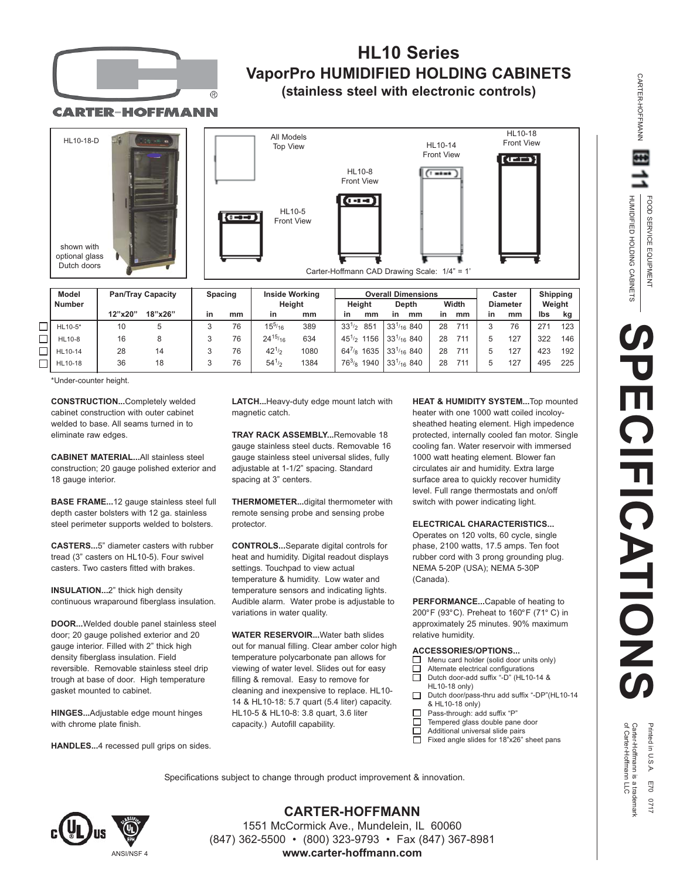

## **HL10 Series VaporPro HUMIDIFIED HOLDING CABINETS (stainless steel with electronic controls)**

CARTER-HOFFMANN



\*Under-counter height.

**CONSTRUCTION...**Completely welded cabinet construction with outer cabinet welded to base. All seams turned in to eliminate raw edges.

**CABINET MATERIAL...**All stainless steel construction; 20 gauge polished exterior and 18 gauge interior.

**BASE FRAME...**12 gauge stainless steel full depth caster bolsters with 12 ga. stainless steel perimeter supports welded to bolsters.

**CASTERS...**5" diameter casters with rubber tread (3" casters on HL10-5). Four swivel casters. Two casters fitted with brakes.

**INSULATION...**2" thick high density continuous wraparound fiberglass insulation.

**DOOR...**Welded double panel stainless steel door; 20 gauge polished exterior and 20 gauge interior. Filled with 2" thick high density fiberglass insulation. Field reversible. Removable stainless steel drip trough at base of door. High temperature gasket mounted to cabinet.

**HINGES...**Adjustable edge mount hinges with chrome plate finish.

**HANDLES...**4 recessed pull grips on sides.

**LATCH...**Heavy-duty edge mount latch with magnetic catch.

**TRAY RACK ASSEMBLY...**Removable 18 gauge stainless steel ducts. Removable 16 gauge stainless steel universal slides, fully adjustable at 1-1/2" spacing. Standard spacing at 3" centers.

**THERMOMETER...**digital thermometer with remote sensing probe and sensing probe protector.

**CONTROLS...**Separate digital controls for heat and humidity. Digital readout displays settings. Touchpad to view actual temperature & humidity. Low water and temperature sensors and indicating lights. Audible alarm. Water probe is adjustable to variations in water quality.

**WATER RESERVOIR...**Water bath slides out for manual filling. Clear amber color high temperature polycarbonate pan allows for viewing of water level. Slides out for easy filling & removal. Easy to remove for cleaning and inexpensive to replace. HL10- 14 & HL10-18: 5.7 quart (5.4 liter) capacity. HL10-5 & HL10-8: 3.8 quart, 3.6 liter capacity.) Autofill capability.

**HEAT & HUMIDITY SYSTEM...**Top mounted heater with one 1000 watt coiled incoloysheathed heating element. High impedence protected, internally cooled fan motor. Single cooling fan. Water reservoir with immersed 1000 watt heating element. Blower fan circulates air and humidity. Extra large surface area to quickly recover humidity level. Full range thermostats and on/off switch with power indicating light.

## **ELECTRICAL CHARACTERISTICS...**

Operates on 120 volts, 60 cycle, single phase, 2100 watts, 17.5 amps. Ten foot rubber cord with 3 prong grounding plug. NEMA 5-20P (USA); NEMA 5-30P (Canada).

**PERFORMANCE...**Capable of heating to 200°F (93°C). Preheat to 160°F (71° C) in approximately 25 minutes. 90% maximum relative humidity.

## **ACCESSORIES/OPTIONS...**

- Menu card holder (solid door units only)
- $\Box$ Alternate electrical configurations П Dutch door-add suffix "-D" (HL10-14 &
- HL10-18 only)  $\Box$ 
	- Dutch door/pass-thru add suffix "-DP"(HL10-14 & HL10-18 only)
- $\Box$ Pass-through: add suffix "P"
- $\Box$ Tempered glass double pane door  $\Box$
- Additional universal slide pairs П Fixed angle slides for 18"x26" sheet pans

Specifications subject to change through product improvement & innovation.



**CARTER-HOFFMANN** 1551 McCormick Ave., Mundelein, IL 60060 (847) 362-5500 • (800) 323-9793 • Fax (847) 367-8981 **www.carter-hoffmann.com**

HUMIDIFIED HOLDING CABINETS HUMIDIFIED HOLDING CABINETS FOOD SERVICE EQUIPMENT FOOD SERVICE EQUIPMENT **SPECIFICATIONS ECIFICATIONS** 

CARTER-HOFFMANN

**CARTER-HOFFMANN** 

of Carter-Hoffmann LLC Carter-Hoffmann is a trademark Printed in U.S.A. E70 0717